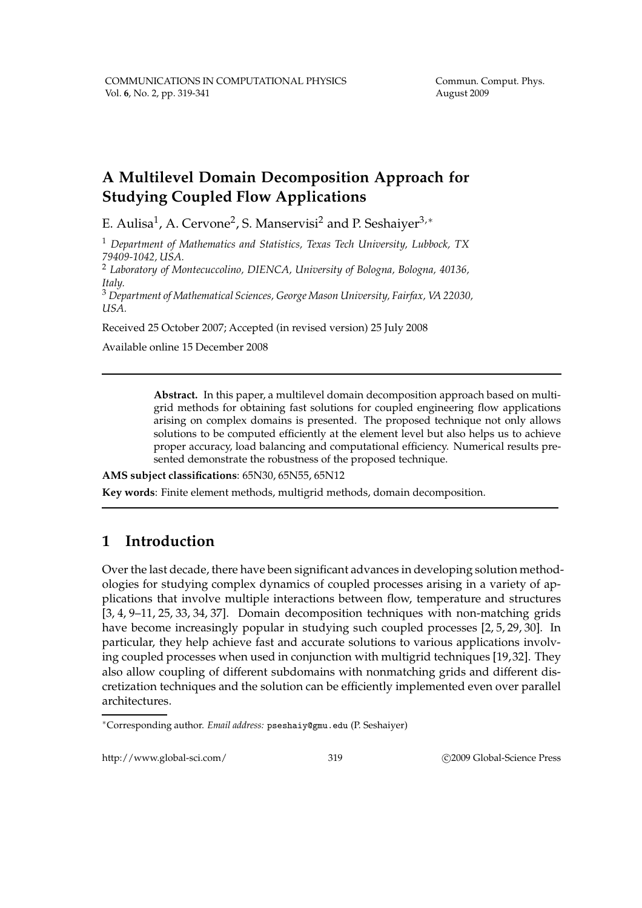# **A Multilevel Domain Decomposition Approach for Studying Coupled Flow Applications**

E. Aulisa<sup>1</sup>, A. Cervone<sup>2</sup>, S. Manservisi<sup>2</sup> and P. Seshaiyer<sup>3,</sup>\*

<sup>1</sup> *Department of Mathematics and Statistics, Texas Tech University, Lubbock, TX 79409-1042, USA.*

<sup>2</sup> *Laboratory of Montecuccolino, DIENCA, University of Bologna, Bologna, 40136, Italy.*

<sup>3</sup> *Department of Mathematical Sciences, George Mason University, Fairfax, VA 22030, USA.*

Received 25 October 2007; Accepted (in revised version) 25 July 2008

Available online 15 December 2008

**Abstract.** In this paper, a multilevel domain decomposition approach based on multigrid methods for obtaining fast solutions for coupled engineering flow applications arising on complex domains is presented. The proposed technique not only allows solutions to be computed efficiently at the element level but also helps us to achieve proper accuracy, load balancing and computational efficiency. Numerical results presented demonstrate the robustness of the proposed technique.

**AMS subject classifications**: 65N30, 65N55, 65N12

**Key words**: Finite element methods, multigrid methods, domain decomposition.

# **1 Introduction**

Over the last decade, there have been significant advances in developing solution methodologies for studying complex dynamics of coupled processes arising in a variety of applications that involve multiple interactions between flow, temperature and structures [3, 4, 9–11, 25, 33, 34, 37]. Domain decomposition techniques with non-matching grids have become increasingly popular in studying such coupled processes [2, 5, 29, 30]. In particular, they help achieve fast and accurate solutions to various applications involving coupled processes when used in conjunction with multigrid techniques [19, 32]. They also allow coupling of different subdomains with nonmatching grids and different discretization techniques and the solution can be efficiently implemented even over parallel architectures.

http://www.global-sci.com/ 319 c 2009 Global-Science Press

<sup>∗</sup>Corresponding author. *Email address:* pseshaiy@gmu.edu (P. Seshaiyer)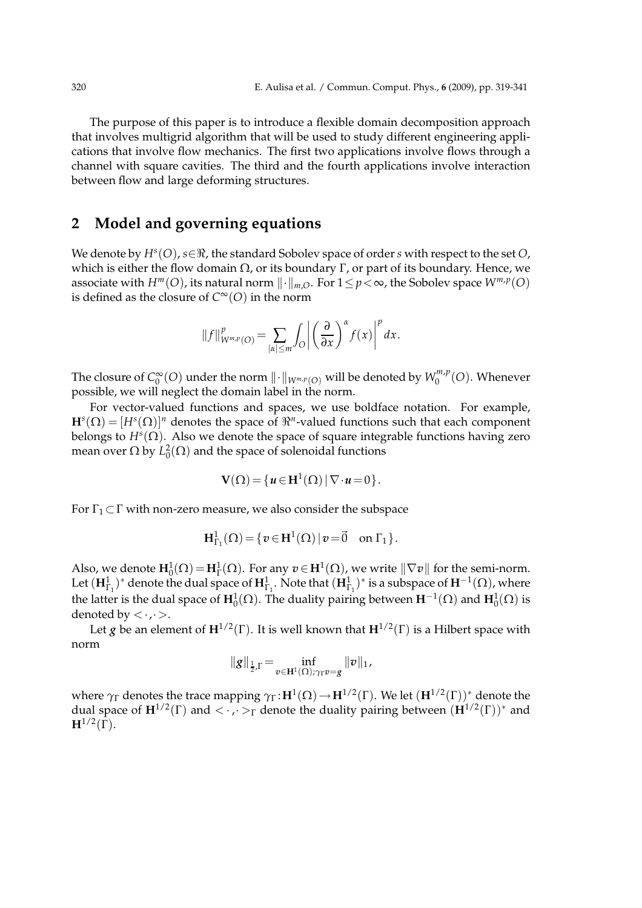The purpose of this paper is to introduce a flexible domain decomposition approach that involves multigrid algorithm that will be used to study different engineering applications that involve flow mechanics. The first two applications involve flows through a channel with square cavities. The third and the fourth applications involve interaction between flow and large deforming structures.

### **2 Model and governing equations**

We denote by *H<sup>s</sup>* (*O*), *s*∈ℜ, the standard Sobolev space of order *s* with respect to the set *O*, which is either the flow domain  $Ω$ , or its boundary Γ, or part of its boundary. Hence, we associate with  $H^m(O)$ , its natural norm  $\lVert \cdot \rVert_{m,O}$ . For  $1 \leq p < \infty$ , the Sobolev space  $W^{m,p}(O)$ is defined as the closure of  $C^{\infty}(O)$  in the norm

$$
||f||_{W^{m,p}(O)}^p = \sum_{|\alpha| \leq m} \int_O \left| \left( \frac{\partial}{\partial x} \right)^{\alpha} f(x) \right|^p dx.
$$

The closure of *C* ∞  $\int_0^\infty$ (*O*) under the norm  $\|\cdot\|_{W^{m,p}(O)}$  will be denoted by  $W^{m,p}_0$  $\binom{m,p}{0}$ . Whenever possible, we will neglect the domain label in the norm.

For vector-valued functions and spaces, we use boldface notation. For example,  $\mathbf{H}^s(\Omega) = [H^s(\Omega)]^n$  denotes the space of  $\Re^n$ -valued functions such that each component belongs to  $H^s(\Omega)$ . Also we denote the space of square integrable functions having zero mean over  $\Omega$  by  $L^2_0(\Omega)$  and the space of solenoidal functions

$$
\mathbf{V}(\Omega) = \{u \in \mathbf{H}^1(\Omega) \,|\, \nabla \cdot u = 0\}.
$$

For  $\Gamma_1 \subset \Gamma$  with non-zero measure, we also consider the subspace

$$
\mathbf{H}^1_{\Gamma_1}(\Omega)\!=\!\{v\!\in\!\mathbf{H}^1(\Omega)\,|\,v\!=\!\vec{0}\quad\text{on }\Gamma_1\}.
$$

Also, we denote  $\mathbf{H}_0^1(\Omega) = \mathbf{H}_\Gamma^1(\Omega)$ . For any  $v \in \mathbf{H}^1(\Omega)$ , we write  $\|\nabla v\|$  for the semi-norm. Let  $(\mathbf{H}^1_{\Gamma_1})^*$  denote the dual space of  $\mathbf{H}^1_{\Gamma_1}$ . Note that  $(\mathbf{H}^1_{\Gamma_1})^*$  is a subspace of  $\mathbf{H}^{-1}(\Omega)$ , where the latter is the dual space of  $\textbf{H}_{0}^{1}(\Omega)$ . The duality pairing between  $\textbf{H}^{-1}(\Omega)$  and  $\textbf{H}_{0}^{1}(\Omega)$  is denoted by  $\langle \cdot, \cdot \rangle$ .

Let *g* be an element of  $\mathbf{H}^{1/2}(\Gamma)$ . It is well known that  $\mathbf{H}^{1/2}(\Gamma)$  is a Hilbert space with norm

$$
\|g\|_{\frac{1}{2},\Gamma} \!=\! \inf_{v\in \mathbf{H}^1(\Omega); \gamma_\Gamma v = g} \|v\|_1,
$$

where  $\gamma_{\Gamma}$  denotes the trace mapping  $\gamma_{\Gamma} \colon$   $H^1(\Omega)$   $\to$   $H^{1/2}(\Gamma)$ . We let  $(H^{1/2}(\Gamma))^*$  denote the dual space of  $\mathbf{H}^{1/2}(\Gamma)$  and  $\langle \cdot, \cdot \rangle_{\Gamma}$  denote the duality pairing between  $(\mathbf{H}^{1/2}(\Gamma))^*$  and  $\mathbf{H}^{1/2}(\Gamma)$ .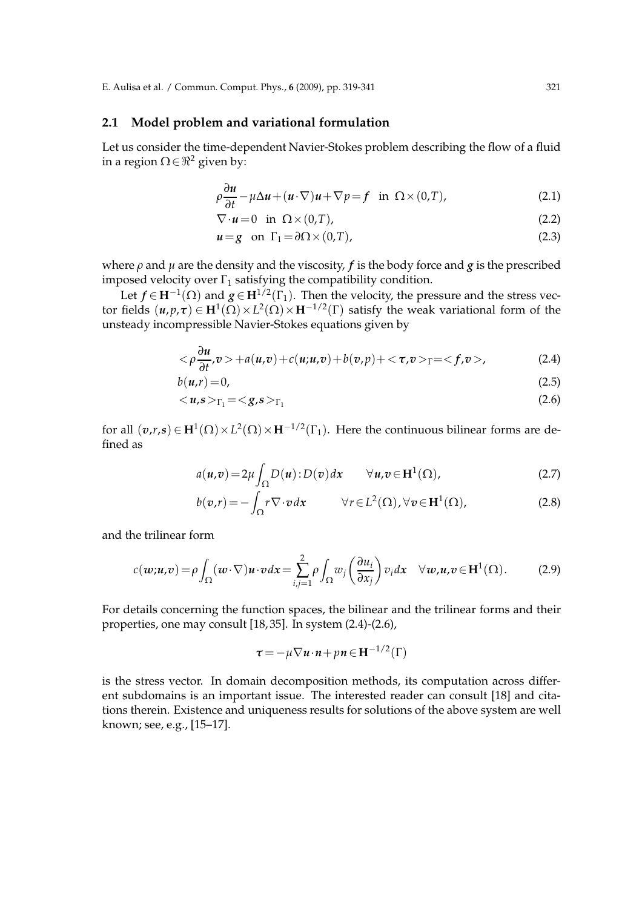### **2.1 Model problem and variational formulation**

Let us consider the time-dependent Navier-Stokes problem describing the flow of a fluid in a region  $\Omega \in \mathbb{R}^2$  given by:

$$
\rho \frac{\partial u}{\partial t} - \mu \Delta u + (u \cdot \nabla) u + \nabla p = f \quad \text{in} \quad \Omega \times (0, T), \tag{2.1}
$$

$$
\nabla \cdot \mathbf{u} = 0 \quad \text{in} \quad \Omega \times (0, T), \tag{2.2}
$$

$$
u = g \quad \text{on} \quad \Gamma_1 = \partial \Omega \times (0, T), \tag{2.3}
$$

where  $\rho$  and  $\mu$  are the density and the viscosity,  $f$  is the body force and  $g$  is the prescribed imposed velocity over  $\Gamma_1$  satisfying the compatibility condition.

Let  $f \in H^{-1}(\Omega)$  and  $g \in H^{1/2}(\Gamma_1)$ . Then the velocity, the pressure and the stress vector fields  $(u, p, \tau) \in H^1(\Omega) \times L^2(\Omega) \times H^{-1/2}(\Gamma)$  satisfy the weak variational form of the unsteady incompressible Navier-Stokes equations given by

$$
\langle \rho \frac{\partial u}{\partial t}, v \rangle + a(u, v) + c(u, u, v) + b(v, p) + \langle \tau, v \rangle_{\Gamma} = \langle f, v \rangle, \tag{2.4}
$$

$$
b(u,r) = 0,\t\t(2.5)
$$

$$
\langle u,s\rangle_{\Gamma_1} = \langle g,s\rangle_{\Gamma_1} \tag{2.6}
$$

for all  $(\boldsymbol{v},r,s) \in \mathbf{H}^1(\Omega) \times L^2(\Omega) \times \mathbf{H}^{-1/2}(\Gamma_1)$ . Here the continuous bilinear forms are defined as

$$
a(\mathbf{u}, \mathbf{v}) = 2\mu \int_{\Omega} D(\mathbf{u}): D(\mathbf{v}) d\mathbf{x} \qquad \forall \mathbf{u}, \mathbf{v} \in \mathbf{H}^{1}(\Omega),
$$
 (2.7)

$$
b(v,r) = -\int_{\Omega} r \nabla \cdot v \, dx \qquad \forall r \in L^{2}(\Omega), \forall v \in \mathbf{H}^{1}(\Omega), \tag{2.8}
$$

and the trilinear form

$$
c(\boldsymbol{w};\boldsymbol{u},\boldsymbol{v}) = \rho \int_{\Omega} (\boldsymbol{w} \cdot \nabla) \boldsymbol{u} \cdot \boldsymbol{v} d\boldsymbol{x} = \sum_{i,j=1}^{2} \rho \int_{\Omega} w_j \left( \frac{\partial u_i}{\partial x_j} \right) v_i d\boldsymbol{x} \quad \forall \boldsymbol{w}, \boldsymbol{u}, \boldsymbol{v} \in \mathbf{H}^1(\Omega). \tag{2.9}
$$

For details concerning the function spaces, the bilinear and the trilinear forms and their properties, one may consult [18, 35]. In system (2.4)-(2.6),

$$
\tau = -\mu \nabla \mathbf{u} \cdot \mathbf{n} + p \mathbf{n} \in \mathbf{H}^{-1/2}(\Gamma)
$$

is the stress vector. In domain decomposition methods, its computation across different subdomains is an important issue. The interested reader can consult [18] and citations therein. Existence and uniqueness results for solutions of the above system are well known; see, e.g., [15–17].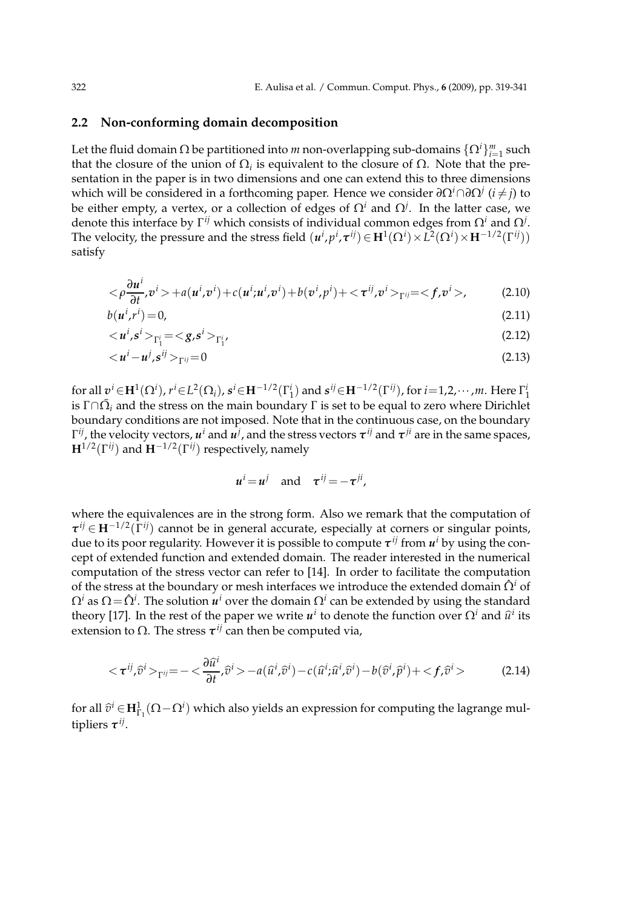### **2.2 Non-conforming domain decomposition**

Let the fluid domain  $\Omega$  be partitioned into  $m$  non-overlapping sub-domains  $\{\Omega^i\}_{i=1}^m$  such that the closure of the union of  $\Omega_i$  is equivalent to the closure of  $\Omega$ . Note that the presentation in the paper is in two dimensions and one can extend this to three dimensions which will be considered in a forthcoming paper. Hence we consider *∂*Ω*i*∩*∂*Ω*<sup>j</sup>* (*i* 6= *j*) to be either empty, a vertex, or a collection of edges of Ω*<sup>i</sup>* and Ω*<sup>j</sup>* . In the latter case, we denote this interface by Γ *ij* which consists of individual common edges from Ω*<sup>i</sup>* and Ω*<sup>j</sup>* . The velocity, the pressure and the stress field  $(u^i, p^i, \tau^{ij}) \in H^1(\Omega^i) \times L^2(\Omega^i) \times H^{-1/2}(\Gamma^{ij})$ satisfy

$$
\langle \rho \frac{\partial u^i}{\partial t}, v^i \rangle + a(u^i, v^i) + c(u^i; u^i, v^i) + b(v^i, p^i) + \langle \tau^{ij}, v^i \rangle_{\Gamma^{ij}} = \langle f, v^i \rangle, \tag{2.10}
$$

$$
b(u^i, r^i) = 0,\tag{2.11}
$$

$$
\langle u^i, s^i \rangle_{\Gamma_1^i} = \langle g, s^i \rangle_{\Gamma_1^i}, \tag{2.12}
$$

$$
\langle u^i - u^j, s^{ij} \rangle_{\Gamma^{ij}} = 0 \tag{2.13}
$$

for all  $v^i \in H^1(\Omega^i)$ ,  $r^i \in L^2(\Omega_i)$ ,  $s^i \in H^{-1/2}(\Gamma_1^i)$  and  $s^{ij} \in H^{-1/2}(\Gamma^{ij})$ , for  $i = 1, 2, \cdots, m$ . Here  $\Gamma_1^i$ is  $\Gamma \cap \bar{\Omega}_i$  and the stress on the main boundary  $\Gamma$  is set to be equal to zero where Dirichlet boundary conditions are not imposed. Note that in the continuous case, on the boundary  $\Gamma^{ij}$ , the velocity vectors,  $u^i$  and  $\overline{u^j}$ , and the stress vectors  $\tau^{ij}$  and  $\tau^{ji}$  are in the same spaces, **H**1/2(Γ *ij*) and **H**−1/2(Γ *ij*) respectively, namely

$$
u^i = u^j
$$
 and  $\tau^{ij} = -\tau^{ji}$ ,

where the equivalences are in the strong form. Also we remark that the computation of *τ ij* ∈ **H**−1/2(Γ *ij*) cannot be in general accurate, especially at corners or singular points, due to its poor regularity. However it is possible to compute *τ ij* from *u <sup>i</sup>* by using the concept of extended function and extended domain. The reader interested in the numerical computation of the stress vector can refer to [14]. In order to facilitate the computation of the stress at the boundary or mesh interfaces we introduce the extended domain  $\hat{\Omega}^i$  of  $\Omega^i$  as  $\Omega\!=\!\hat{\Omega}^i.$  The solution  $\pmb{u}^i$  over the domain  $\Omega^i$  can be extended by using the standard theory [17]. In the rest of the paper we write  $u^i$  to denote the function over  $\Omega^i$  and  $\hat{u}^i$  its extension to  $Ω$ . The stress  $τ^{ij}$  can then be computed via,

$$
\langle \tau^{ij}, \hat{v}^i \rangle_{\Gamma^{ij}} = -\langle \frac{\partial \hat{u}^i}{\partial t}, \hat{v}^i \rangle - a(\hat{u}^i, \hat{v}^i) - c(\hat{u}^i, \hat{u}^i, \hat{v}^i) - b(\hat{v}^i, \hat{p}^i) + \langle f, \hat{v}^i \rangle \tag{2.14}
$$

for all  $\widehat{v}^i \in H^1_{\Gamma_1}(\Omega - \Omega^i)$  which also yields an expression for computing the lagrange multipliers *τ ij* .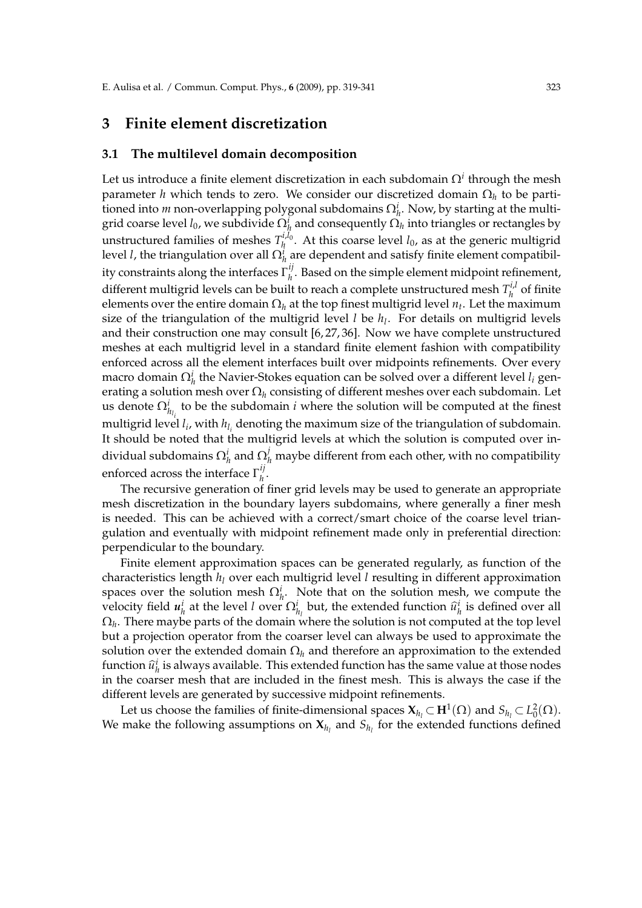### **3 Finite element discretization**

#### **3.1 The multilevel domain decomposition**

Let us introduce a finite element discretization in each subdomain  $\Omega^i$  through the mesh parameter *h* which tends to zero. We consider our discretized domain Ω*<sup>h</sup>* to be partitioned into *m* non-overlapping polygonal subdomains  $\Omega_h^i$ . Now, by starting at the multigrid coarse level  $l_0$ , we subdivide  $\Omega^i_h$  and consequently  $\Omega_h$  into triangles or rectangles by unstructured families of meshes  $T_h^{i,l_0}$  $h_h^{t,t_0}$ . At this coarse level  $l_0$ , as at the generic multigrid level *l*, the triangulation over all  $\Omega_h^i$  are dependent and satisfy finite element compatibility constraints along the interfaces Γ *ij*  $h_h^{\prime}$ . Based on the simple element midpoint refinement, different multigrid levels can be built to reach a complete unstructured mesh  $T_h^{i,l}$  $h$ <sup> $u$ </sup> of finite elements over the entire domain  $\Omega_h$  at the top finest multigrid level  $n_t$ . Let the maximum size of the triangulation of the multigrid level *l* be *h<sup>l</sup>* . For details on multigrid levels and their construction one may consult [6, 27, 36]. Now we have complete unstructured meshes at each multigrid level in a standard finite element fashion with compatibility enforced across all the element interfaces built over midpoints refinements. Over every macro domain  $\Omega^i_h$  the Navier-Stokes equation can be solved over a different level  $l_i$  generating a solution mesh over Ω*<sup>h</sup>* consisting of different meshes over each subdomain. Let us denote  $\Omega^i_{h_{l_i}}$  to be the subdomain *i* where the solution will be computed at the finest multigrid level  $l_i$ , with  $h_{l_i}$  denoting the maximum size of the triangulation of subdomain. It should be noted that the multigrid levels at which the solution is computed over individual subdomains  $\Omega_h^i$  and  $\Omega_h^j$  maybe different from each other, with no compatibility enforced across the interface  $\Gamma_h^{ij}$ *h* .

The recursive generation of finer grid levels may be used to generate an appropriate mesh discretization in the boundary layers subdomains, where generally a finer mesh is needed. This can be achieved with a correct/smart choice of the coarse level triangulation and eventually with midpoint refinement made only in preferential direction: perpendicular to the boundary.

Finite element approximation spaces can be generated regularly, as function of the characteristics length *h<sup>l</sup>* over each multigrid level *l* resulting in different approximation spaces over the solution mesh  $\Omega_h^i$ . Note that on the solution mesh, we compute the velocity field  $u_h^i$  at the level *l* over  $\Omega_{h_l}^i$  but, the extended function  $\hat{u}_h^i$  is defined over all  $\Omega_h.$  There maybe parts of the domain where the solution is not computed at the top level but a projection operator from the coarser level can always be used to approximate the solution over the extended domain  $\Omega_h$  and therefore an approximation to the extended function  $\hat{u}_h^i$  is always available. This extended function has the same value at those nodes in the coarser mesh that are included in the finest mesh. This is always the case if the different levels are generated by successive midpoint refinements.

Let us choose the families of finite-dimensional spaces  $X_{h_l} \subset H^1(\Omega)$  and  $S_{h_l} \subset L^2_0(\Omega)$ . We make the following assumptions on  $\mathbf{X}_{h_l}$  and  $S_{h_l}$  for the extended functions defined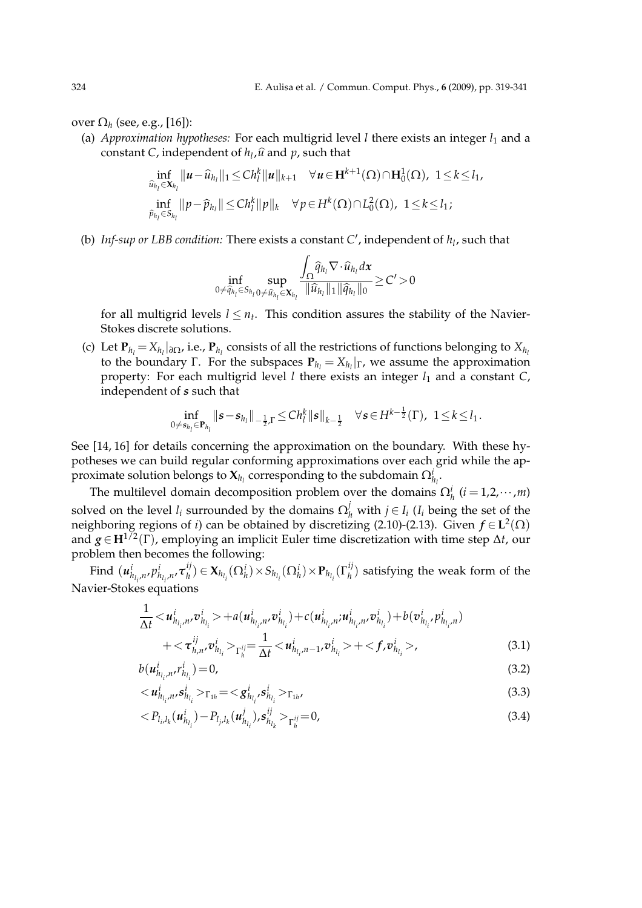over Ω*<sup>h</sup>* (see, e.g., [16]):

(a) *Approximation hypotheses:* For each multigrid level *l* there exists an integer  $l_1$  and a constant C, independent of  $h_l$ , $\widehat{u}$  and  $p$ , such that

$$
\inf_{\hat{u}_{h_l} \in \mathbf{X}_{h_l}} ||\mathbf{u} - \hat{u}_{h_l}||_1 \leq Ch_l^k ||\mathbf{u}||_{k+1} \quad \forall \mathbf{u} \in \mathbf{H}^{k+1}(\Omega) \cap \mathbf{H}_0^1(\Omega), \ 1 \leq k \leq l_1,
$$
\n
$$
\inf_{\hat{p}_{h_l} \in S_{h_l}} ||p - \hat{p}_{h_l}|| \leq Ch_l^k ||p||_k \quad \forall p \in H^k(\Omega) \cap L_0^2(\Omega), \ 1 \leq k \leq l_1;
$$

(b) *Inf-sup or LBB condition:* There exists a constant *C* ′ , independent of *h<sup>l</sup>* , such that

$$
\inf_{0\neq \widehat{q}_{h_l}\in S_{h_l}}\sup_{0\neq \widehat{u}_{h_l}\in \mathbf{X}_{h_l}}\frac{\displaystyle\int_{\Omega}\widehat{q}_{h_l}\nabla\cdot \widehat{u}_{h_l}d\mathbf{x}}{\|\widehat{u}_{h_l}\|_1\|\widehat{q}_{h_l}\|_0}\geq C'>0
$$

for all multigrid levels  $l \leq n_t$ . This condition assures the stability of the Navier-Stokes discrete solutions.

(c) Let  $P_{h_l} = X_{h_l}|_{\partial \Omega}$ , i.e.,  $P_{h_l}$  consists of all the restrictions of functions belonging to  $X_{h_l}$ to the boundary Γ. For the subspaces  $P_{h_l} = X_{h_l}|_{\Gamma}$ , we assume the approximation property: For each multigrid level *l* there exists an integer *l*<sup>1</sup> and a constant *C*, independent of *s* such that

$$
\inf_{0 \neq s_{h_l} \in \mathbf{P}_{h_l}} ||s - s_{h_l}||_{-\frac{1}{2},\Gamma} \leq Ch_l^k ||s||_{k-\frac{1}{2}} \quad \forall s \in H^{k-\frac{1}{2}}(\Gamma), \ \ 1 \leq k \leq l_1.
$$

See [14, 16] for details concerning the approximation on the boundary. With these hypotheses we can build regular conforming approximations over each grid while the approximate solution belongs to  $\mathbf{X}_{h_l}$  corresponding to the subdomain  $\Omega^i_{h_l}.$ 

The multilevel domain decomposition problem over the domains  $\Omega_h^i$  ( $i = 1, 2, \cdots, m$ ) solved on the level  $l_i$  surrounded by the domains  $\Omega_h^j$  with  $j \in I_i$  ( $l_i$  being the set of the neighboring regions of *i*) can be obtained by discretizing (2.10)-(2.13). Given *f* ∈ **L** 2 (Ω) and *g* ∈ **H**1/2(Γ), employing an implicit Euler time discretization with time step ∆*t*, our problem then becomes the following:

 $\operatorname{Find}$   $(u_{h_{l_i},n}^i, p_{h_{l_i},n}^i, \tau_h^{ij})$  $\mathbf{X}_{h_{l_i}}(\Omega_h^i) \times S_{h_{l_i}}(\Omega_h^i) \times \mathbf{P}_{h_{l_i}}(\Gamma_h^{ij})$  $h_h^{(l)}$ ) satisfying the weak form of the Navier-Stokes equations

$$
\frac{1}{\Delta t} < \boldsymbol{u}_{h_{l_i},n'}^i \boldsymbol{v}_{h_{l_i}}^i > + a(\boldsymbol{u}_{h_{l_i},n'}^i \boldsymbol{v}_{h_{l_i}}^i) + c(\boldsymbol{u}_{h_{l_i},n}^i \boldsymbol{u}_{h_{l_i},n}^i, \boldsymbol{v}_{h_{l_i}}^i) + b(\boldsymbol{v}_{h_{l_i}}^i, p_{h_{l_i},n}^i) + < \tau_{h,n'}^{ij}, \boldsymbol{v}_{h_{l_i}}^i >_{\Gamma_h^{ij}} = \frac{1}{\Delta t} < \boldsymbol{u}_{h_{l_i},n-1}^i, \boldsymbol{v}_{h_{l_i}}^i > + < f, \boldsymbol{v}_{h_{l_i}}^i > , \tag{3.1}
$$

$$
b(u^i_{h_l,n'}r^i_{h_l}) = 0,\t\t(3.2)
$$

$$
b(u_{h_{l_i},n'}^i, r_{h_{l_i}}^i) = 0,
$$
\n
$$
\langle u_{h_{l_i},n'}^i, s_{h_{l_i}}^i \rangle_{\Gamma_{1h}} = \langle g_{h_{l_i}}^i, s_{h_{l_i}}^i \rangle_{\Gamma_{1h'}} \tag{3.2}
$$

$$
\langle P_{l_i,l_k}(\boldsymbol{u}_{h_{l_i}}^i) - P_{l_j,l_k}(\boldsymbol{u}_{h_{l_i}}^j), \boldsymbol{s}_{h_{l_k}}^{ij} \rangle_{\Gamma_h^{ij}} = 0, \qquad (3.4)
$$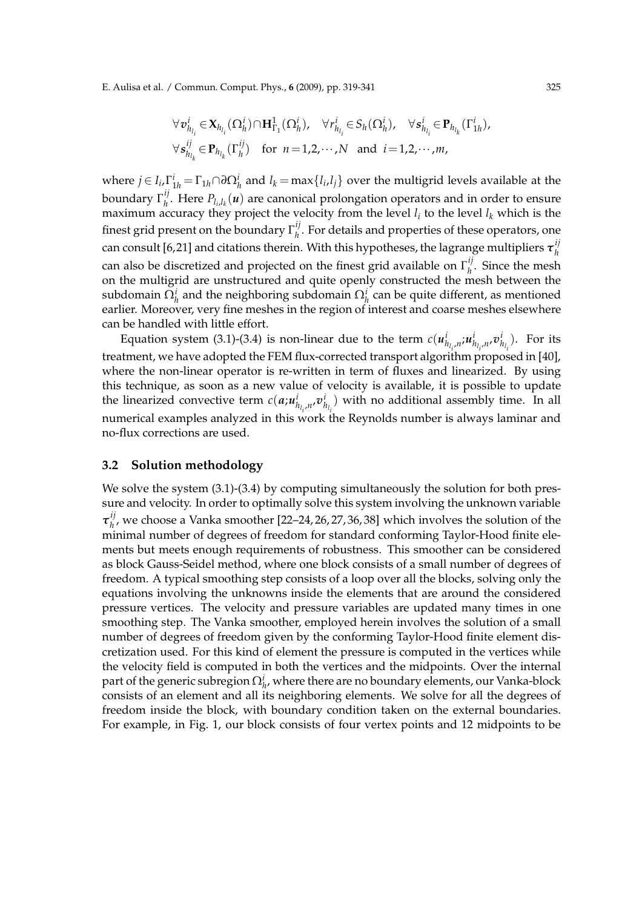E. Aulisa et al. / Commun. Comput. Phys., **6** (2009), pp. 319-341 325

$$
\forall v_{h_{l_i}}^i \in X_{h_{l_i}}(\Omega_h^i) \cap \mathbf{H}_{\Gamma_1}^1(\Omega_h^i), \quad \forall r_{h_{l_i}}^i \in S_h(\Omega_h^i), \quad \forall s_{h_{l_i}}^i \in \mathbf{P}_{h_{l_k}}(\Gamma_{1h}^i), \forall s_{h_{l_k}}^{ij} \in \mathbf{P}_{h_{l_k}}(\Gamma_h^{ij}) \quad \text{for } n = 1, 2, \cdots, N \text{ and } i = 1, 2, \cdots, m,
$$

where  $j \in I_i$ ,  $\Gamma^i_{1h} = \Gamma_{1h} \cap \partial \Omega^i_h$  and  $l_k = \max\{l_i, l_j\}$  over the multigrid levels available at the boundary Γ *ij*  $h$ <sup>*l*</sup>. Here  $P_{l_i,l_k}(\boldsymbol{u})$  are canonical prolongation operators and in order to ensure maximum accuracy they project the velocity from the level  $l_i$  to the level  $l_k$  which is the finest grid present on the boundary  $\Gamma_h^{ij}$  $h_h^{\prime}$ . For details and properties of these operators, one can consult [6,21] and citations therein. With this hypotheses, the lagrange multipliers *τ ij h* can also be discretized and projected on the finest grid available on  $\Gamma_h^{ij}$  $h$ <sup>*h*</sup>. Since the mesh on the multigrid are unstructured and quite openly constructed the mesh between the subdomain  $\Omega_h^i$  and the neighboring subdomain  $\Omega_h^i$  can be quite different, as mentioned earlier. Moreover, very fine meshes in the region of interest and coarse meshes elsewhere can be handled with little effort.

Equation system (3.1)-(3.4) is non-linear due to the term  $c(u^i_{h_{l_i},n},u^i_{h_{l_i},n},v^i_{h_{l_i}})$ . For its treatment, we have adopted the FEM flux-corrected transport algorithm proposed in [40], where the non-linear operator is re-written in term of fluxes and linearized. By using this technique, as soon as a new value of velocity is available, it is possible to update the linearized convective term  $c(a; u^i_{h_{l_i},n}, v^i_{h_{l_i}})$  with no additional assembly time. In all *i i* numerical examples analyzed in this work the Reynolds number is always laminar and no-flux corrections are used.

### **3.2 Solution methodology**

We solve the system  $(3.1)$ - $(3.4)$  by computing simultaneously the solution for both pressure and velocity. In order to optimally solve this system involving the unknown variable *τ ij*  $h_h^{\prime\prime}$ , we choose a Vanka smoother [22–24, 26, 27, 36, 38] which involves the solution of the minimal number of degrees of freedom for standard conforming Taylor-Hood finite elements but meets enough requirements of robustness. This smoother can be considered as block Gauss-Seidel method, where one block consists of a small number of degrees of freedom. A typical smoothing step consists of a loop over all the blocks, solving only the equations involving the unknowns inside the elements that are around the considered pressure vertices. The velocity and pressure variables are updated many times in one smoothing step. The Vanka smoother, employed herein involves the solution of a small number of degrees of freedom given by the conforming Taylor-Hood finite element discretization used. For this kind of element the pressure is computed in the vertices while the velocity field is computed in both the vertices and the midpoints. Over the internal part of the generic subregion  $\Omega^i_{h'}$  where there are no boundary elements, our Vanka-block consists of an element and all its neighboring elements. We solve for all the degrees of freedom inside the block, with boundary condition taken on the external boundaries. For example, in Fig. 1, our block consists of four vertex points and 12 midpoints to be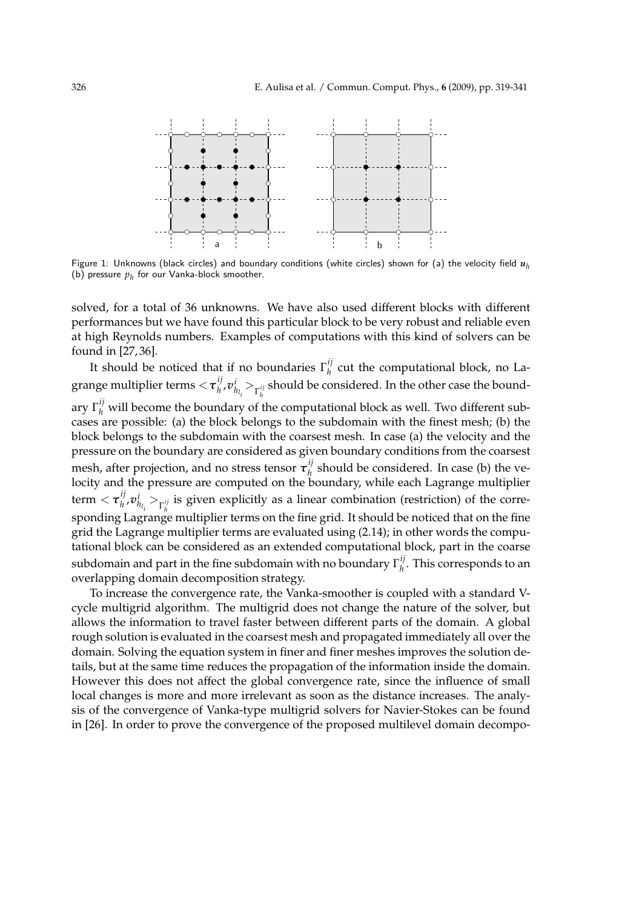

Figure 1: Unknowns (black circles) and boundary conditions (white circles) shown for (a) the velocity field *u<sup>h</sup>* (b) pressure  $p_h$  for our Vanka-block smoother.

solved, for a total of 36 unknowns. We have also used different blocks with different performances but we have found this particular block to be very robust and reliable even at high Reynolds numbers. Examples of computations with this kind of solvers can be found in [27, 36].

It should be noticed that if no boundaries  $\Gamma_h^{ij}$  $h_h^{\prime\prime}$  cut the computational block, no Lagrange multiplier terms <*τ ij*  $\left\{ \boldsymbol{v}_h^{\mathcal{U}},\boldsymbol{v}_{h_{l_i}}^i\right\}_{\Gamma_h^{ij}}$  should be considered. In the other case the boundary  $\Gamma_h^{ij}$  will become the boundary of the computational block as well. Two different subcases are possible: (a) the block belongs to the subdomain with the finest mesh; (b) the block belongs to the subdomain with the coarsest mesh. In case (a) the velocity and the pressure on the boundary are considered as given boundary conditions from the coarsest mesh, after projection, and no stress tensor  $\boldsymbol{\tau}_h^{ij}$  $h$ <sup>1</sup> should be considered. In case (b) the velocity and the pressure are computed on the boundary, while each Lagrange multiplier term  $<$   $\boldsymbol{\tau}_h^{ij}$  $h^j h^j v^i_{h_{l_i}} >_{\Gamma_h^{ij}}$  is given explicitly as a linear combination (restriction) of the corresponding Lagrange multiplier terms on the fine grid. It should be noticed that on the fine grid the Lagrange multiplier terms are evaluated using (2.14); in other words the computational block can be considered as an extended computational block, part in the coarse subdomain and part in the fine subdomain with no boundary  $\Gamma_h^{ij}$  $h_l$ <sup>*u*</sup>. This corresponds to an overlapping domain decomposition strategy.

To increase the convergence rate, the Vanka-smoother is coupled with a standard Vcycle multigrid algorithm. The multigrid does not change the nature of the solver, but allows the information to travel faster between different parts of the domain. A global rough solution is evaluated in the coarsest mesh and propagated immediately all over the domain. Solving the equation system in finer and finer meshes improves the solution details, but at the same time reduces the propagation of the information inside the domain. However this does not affect the global convergence rate, since the influence of small local changes is more and more irrelevant as soon as the distance increases. The analysis of the convergence of Vanka-type multigrid solvers for Navier-Stokes can be found in [26]. In order to prove the convergence of the proposed multilevel domain decompo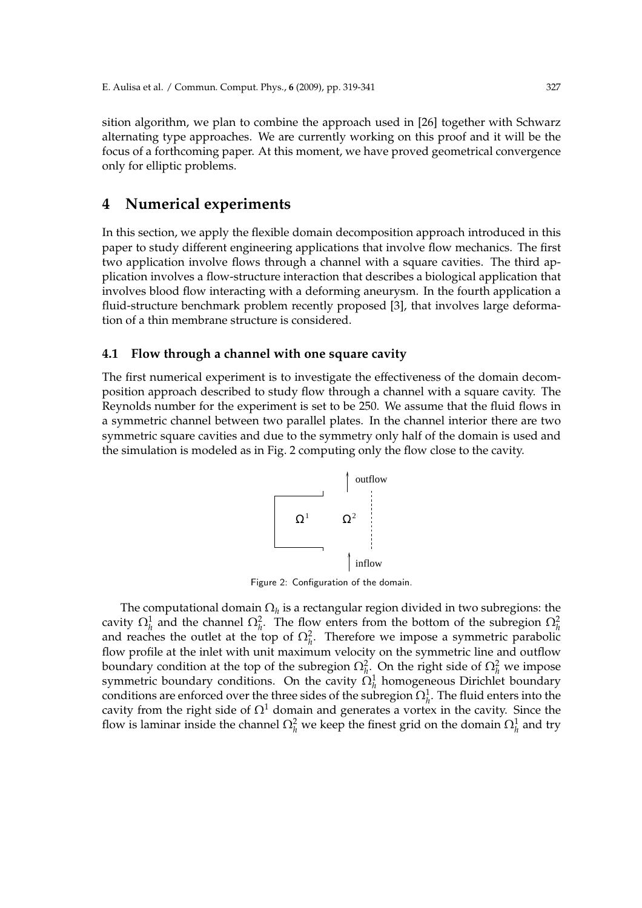sition algorithm, we plan to combine the approach used in [26] together with Schwarz alternating type approaches. We are currently working on this proof and it will be the focus of a forthcoming paper. At this moment, we have proved geometrical convergence only for elliptic problems.

### **4 Numerical experiments**

In this section, we apply the flexible domain decomposition approach introduced in this paper to study different engineering applications that involve flow mechanics. The first two application involve flows through a channel with a square cavities. The third application involves a flow-structure interaction that describes a biological application that involves blood flow interacting with a deforming aneurysm. In the fourth application a fluid-structure benchmark problem recently proposed [3], that involves large deformation of a thin membrane structure is considered.

### **4.1 Flow through a channel with one square cavity**

The first numerical experiment is to investigate the effectiveness of the domain decomposition approach described to study flow through a channel with a square cavity. The Reynolds number for the experiment is set to be 250. We assume that the fluid flows in a symmetric channel between two parallel plates. In the channel interior there are two symmetric square cavities and due to the symmetry only half of the domain is used and the simulation is modeled as in Fig. 2 computing only the flow close to the cavity.



Figure 2: Configuration of the domain.

The computational domain  $\Omega_h$  is a rectangular region divided in two subregions: the cavity  $\Omega_h^1$  and the channel  $\Omega_h^2$ . The flow enters from the bottom of the subregion  $\Omega_h^2$ and reaches the outlet at the top of  $\Omega_h^2$ . Therefore we impose a symmetric parabolic flow profile at the inlet with unit maximum velocity on the symmetric line and outflow boundary condition at the top of the subregion  $\Omega_h^2$ . On the right side of  $\Omega_h^2$  we impose symmetric boundary conditions. On the cavity  $\Omega_h^1$  homogeneous Dirichlet boundary conditions are enforced over the three sides of the subregion  $\Omega_h^1$ . The fluid enters into the cavity from the right side of  $\Omega^1$  domain and generates a vortex in the cavity. Since the flow is laminar inside the channel  $\Omega_h^2$  we keep the finest grid on the domain  $\Omega_h^1$  and try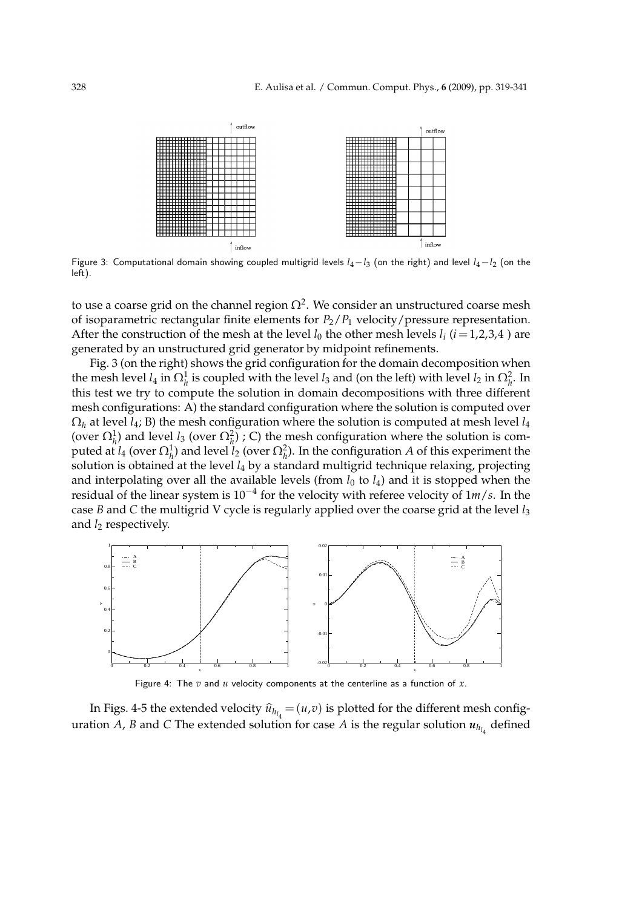

Figure 3: Computational domain showing coupled multigrid levels  $l_4-l_3$  (on the right) and level  $l_4-l_2$  (on the left).

to use a coarse grid on the channel region  $\Omega^2.$  We consider an unstructured coarse mesh of isoparametric rectangular finite elements for  $P_2/P_1$  velocity/pressure representation. After the construction of the mesh at the level  $l_0$  the other mesh levels  $l_i$  ( $i = 1,2,3,4$ ) are generated by an unstructured grid generator by midpoint refinements.

Fig. 3 (on the right) shows the grid configuration for the domain decomposition when the mesh level  $l_4$  in  $\Omega_h^1$  is coupled with the level  $l_3$  and (on the left) with level  $l_2$  in  $\Omega_h^2$ . In this test we try to compute the solution in domain decompositions with three different mesh configurations: A) the standard configuration where the solution is computed over  $\Omega_h$  at level *l*<sub>4</sub>; B) the mesh configuration where the solution is computed at mesh level *l*<sub>4</sub> (over  $\Omega_h^1$ ) and level *l*<sub>3</sub> (over  $\Omega_h^2$ ); C) the mesh configuration where the solution is computed at *l*<sub>4</sub> (over  $\Omega_h^1$ ) and level *l*<sub>2</sub> (over  $\Omega_h^2$ ). In the configuration *A* of this experiment the solution is obtained at the level *l*<sup>4</sup> by a standard multigrid technique relaxing, projecting and interpolating over all the available levels (from  $l_0$  to  $l_4$ ) and it is stopped when the residual of the linear system is 10−<sup>4</sup> for the velocity with referee velocity of 1*m*/*s*. In the case *B* and *C* the multigrid V cycle is regularly applied over the coarse grid at the level *l*<sup>3</sup> and *l*<sub>2</sub> respectively.



Figure 4: The *v* and *u* velocity components at the centerline as a function of *x*.

In Figs. 4-5 the extended velocity  $\hat{u}_{h_{l_4}} = (u,v)$  is plotted for the different mesh configuration *A, B* and *C* The extended solution for case *A* is the regular solution  $u_{h_{l_4}}$  defined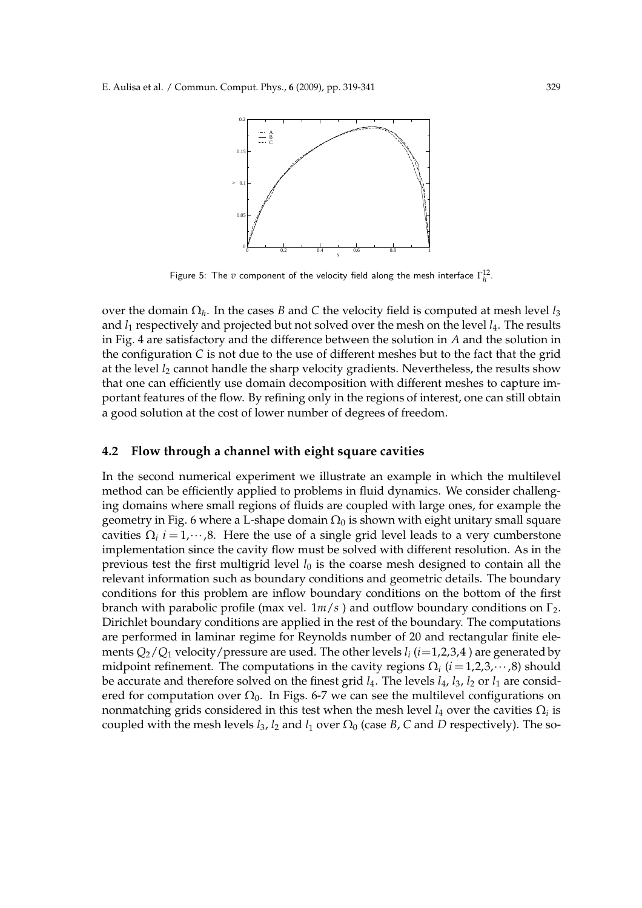

Figure 5: The  $v$  component of the velocity field along the mesh interface  $\Gamma_h^{12}$ .

over the domain Ω*<sup>h</sup>* . In the cases *B* and *C* the velocity field is computed at mesh level *l*<sup>3</sup> and *l*<sup>1</sup> respectively and projected but not solved over the mesh on the level *l*4. The results in Fig. 4 are satisfactory and the difference between the solution in *A* and the solution in the configuration *C* is not due to the use of different meshes but to the fact that the grid at the level *l*<sup>2</sup> cannot handle the sharp velocity gradients. Nevertheless, the results show that one can efficiently use domain decomposition with different meshes to capture important features of the flow. By refining only in the regions of interest, one can still obtain a good solution at the cost of lower number of degrees of freedom.

#### **4.2 Flow through a channel with eight square cavities**

In the second numerical experiment we illustrate an example in which the multilevel method can be efficiently applied to problems in fluid dynamics. We consider challenging domains where small regions of fluids are coupled with large ones, for example the geometry in Fig. 6 where a L-shape domain  $\Omega_0$  is shown with eight unitary small square cavities  $\Omega_i$  *i* = 1, $\cdots$ ,8. Here the use of a single grid level leads to a very cumberstone implementation since the cavity flow must be solved with different resolution. As in the previous test the first multigrid level  $l_0$  is the coarse mesh designed to contain all the relevant information such as boundary conditions and geometric details. The boundary conditions for this problem are inflow boundary conditions on the bottom of the first branch with parabolic profile (max vel. 1*m*/*s* ) and outflow boundary conditions on Γ2. Dirichlet boundary conditions are applied in the rest of the boundary. The computations are performed in laminar regime for Reynolds number of 20 and rectangular finite elements *Q*2/*Q*<sup>1</sup> velocity/pressure are used. The other levels *l<sup>i</sup>* (*i*=1,2,3,4 ) are generated by midpoint refinement. The computations in the cavity regions  $\Omega_i$  ( $i = 1, 2, 3, \cdots, 8$ ) should be accurate and therefore solved on the finest grid  $l_4$ . The levels  $l_4$ ,  $l_3$ ,  $l_2$  or  $l_1$  are considered for computation over  $\Omega_0$ . In Figs. 6-7 we can see the multilevel configurations on nonmatching grids considered in this test when the mesh level  $l_4$  over the cavities  $\Omega_i$  is coupled with the mesh levels  $l_3$ ,  $l_2$  and  $l_1$  over  $\Omega_0$  (case *B*, *C* and *D* respectively). The so-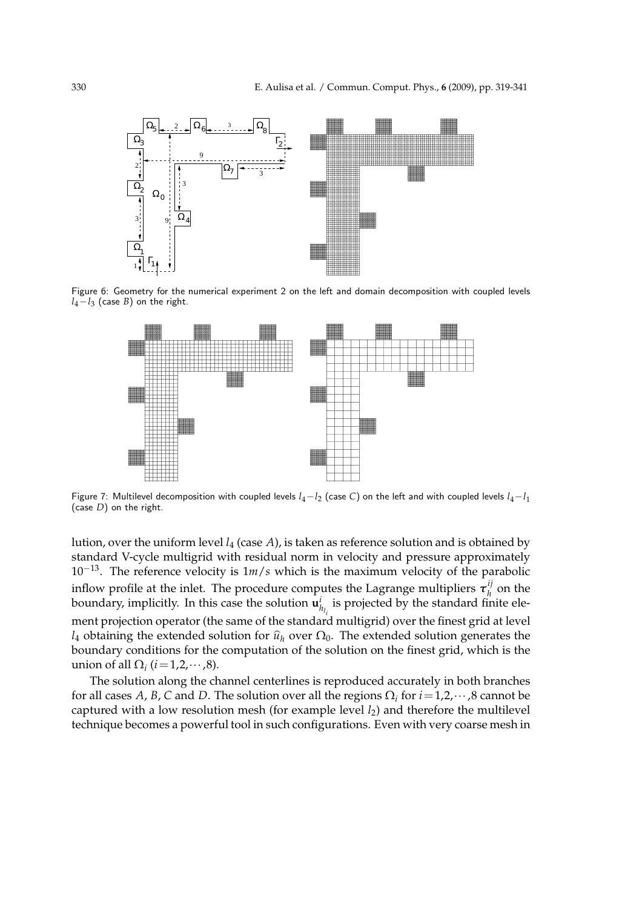

Figure 6: Geometry for the numerical experiment 2 on the left and domain decomposition with coupled levels *l*4−*l*<sup>3</sup> (case *B*) on the right.



Figure 7: Multilevel decomposition with coupled levels  $l_4-l_2$  (case C) on the left and with coupled levels  $l_4-l_1$ (case *D*) on the right.

lution, over the uniform level *l*<sup>4</sup> (case *A*), is taken as reference solution and is obtained by standard V-cycle multigrid with residual norm in velocity and pressure approximately 10−13. The reference velocity is 1*m*/*s* which is the maximum velocity of the parabolic inflow profile at the inlet. The procedure computes the Lagrange multipliers  $\tau_h^{ij}$  $h$ <sup>*y*</sup> on the boundary, implicitly. In this case the solution  $\mathbf{u}_{h_{l_i}}^i$  is projected by the standard finite element projection operator (the same of the standard multigrid) over the finest grid at level *l*<sub>4</sub> obtaining the extended solution for  $\hat{u}_h$  over  $\Omega_0$ . The extended solution generates the boundary conditions for the computation of the solution on the finest grid, which is the union of all  $\Omega_i$  (*i* = 1,2, ··· ,8).

The solution along the channel centerlines is reproduced accurately in both branches for all cases A, B, C and D. The solution over all the regions  $\Omega_i$  for  $i = 1, 2, \dots, 8$  cannot be captured with a low resolution mesh (for example level *l*2) and therefore the multilevel technique becomes a powerful tool in such configurations. Even with very coarse mesh in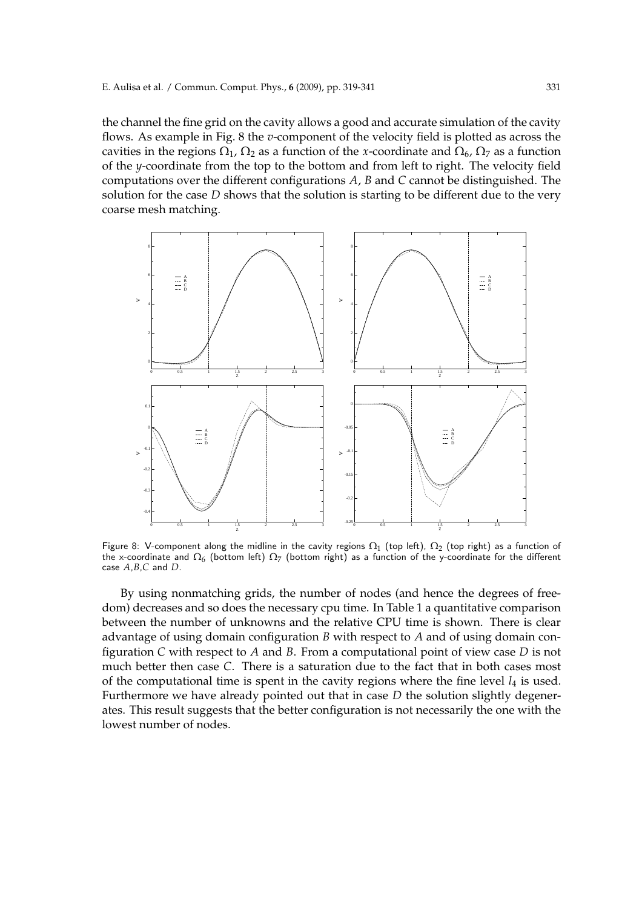the channel the fine grid on the cavity allows a good and accurate simulation of the cavity flows. As example in Fig. 8 the *v*-component of the velocity field is plotted as across the cavities in the regions  $\Omega_1$ ,  $\Omega_2$  as a function of the *x*-coordinate and  $\Omega_6$ ,  $\Omega_7$  as a function of the *y*-coordinate from the top to the bottom and from left to right. The velocity field computations over the different configurations *A*, *B* and *C* cannot be distinguished. The solution for the case *D* shows that the solution is starting to be different due to the very coarse mesh matching.



Figure 8: V-component along the midline in the cavity regions  $\Omega_1$  (top left),  $\Omega_2$  (top right) as a function of the x-coordinate and  $\Omega_6$  (bottom left)  $\Omega_7$  (bottom right) as a function of the y-coordinate for the different case *A*,*B*,*C* and *D*.

By using nonmatching grids, the number of nodes (and hence the degrees of freedom) decreases and so does the necessary cpu time. In Table 1 a quantitative comparison between the number of unknowns and the relative CPU time is shown. There is clear advantage of using domain configuration *B* with respect to *A* and of using domain configuration *C* with respect to *A* and *B*. From a computational point of view case *D* is not much better then case *C*. There is a saturation due to the fact that in both cases most of the computational time is spent in the cavity regions where the fine level  $l_4$  is used. Furthermore we have already pointed out that in case *D* the solution slightly degenerates. This result suggests that the better configuration is not necessarily the one with the lowest number of nodes.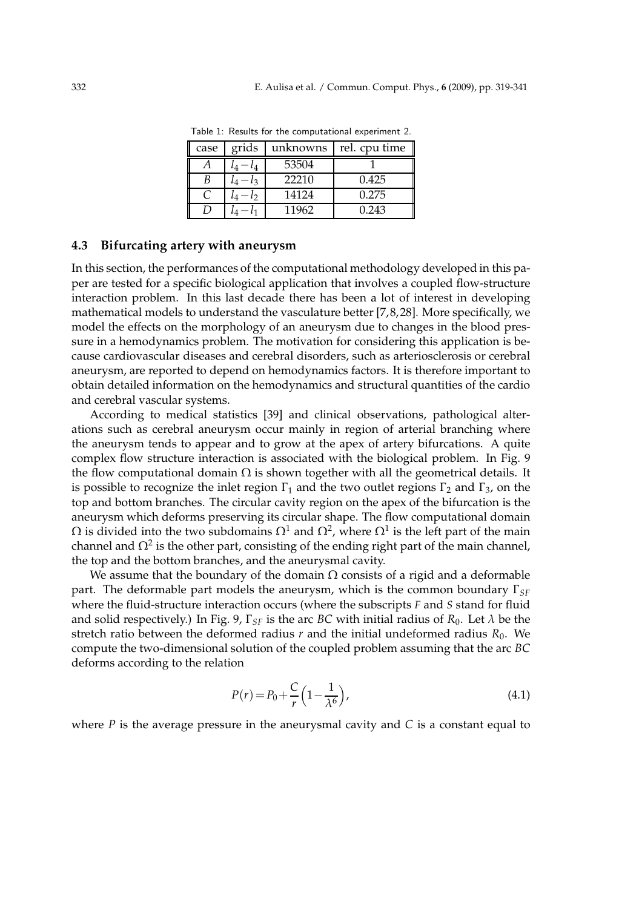| case | grids     | unknowns | rel. cpu time |
|------|-----------|----------|---------------|
|      |           | 53504    |               |
| B    | $\iota$ 3 | 22210    | 0.425         |
|      | ιŋ        | 14124    | 0.275         |
|      |           | 11962    | 0.243         |

Table 1: Results for the computational experiment 2.

### **4.3 Bifurcating artery with aneurysm**

In this section, the performances of the computational methodology developed in this paper are tested for a specific biological application that involves a coupled flow-structure interaction problem. In this last decade there has been a lot of interest in developing mathematical models to understand the vasculature better [7, 8, 28]. More specifically, we model the effects on the morphology of an aneurysm due to changes in the blood pressure in a hemodynamics problem. The motivation for considering this application is because cardiovascular diseases and cerebral disorders, such as arteriosclerosis or cerebral aneurysm, are reported to depend on hemodynamics factors. It is therefore important to obtain detailed information on the hemodynamics and structural quantities of the cardio and cerebral vascular systems.

According to medical statistics [39] and clinical observations, pathological alterations such as cerebral aneurysm occur mainly in region of arterial branching where the aneurysm tends to appear and to grow at the apex of artery bifurcations. A quite complex flow structure interaction is associated with the biological problem. In Fig. 9 the flow computational domain  $\Omega$  is shown together with all the geometrical details. It is possible to recognize the inlet region  $\Gamma_1$  and the two outlet regions  $\Gamma_2$  and  $\Gamma_3$ , on the top and bottom branches. The circular cavity region on the apex of the bifurcation is the aneurysm which deforms preserving its circular shape. The flow computational domain  $\Omega$  is divided into the two subdomains  $\Omega^1$  and  $\Omega^2$ , where  $\Omega^1$  is the left part of the main channel and  $\Omega^2$  is the other part, consisting of the ending right part of the main channel, the top and the bottom branches, and the aneurysmal cavity.

We assume that the boundary of the domain  $\Omega$  consists of a rigid and a deformable part. The deformable part models the aneurysm, which is the common boundary Γ*SF* where the fluid-structure interaction occurs (where the subscripts *F* and *S* stand for fluid and solid respectively.) In Fig. 9,  $\Gamma_{SF}$  is the arc *BC* with initial radius of  $R_0$ . Let  $\lambda$  be the stretch ratio between the deformed radius  $r$  and the initial undeformed radius  $R_0$ . We compute the two-dimensional solution of the coupled problem assuming that the arc *BC* deforms according to the relation

$$
P(r) = P_0 + \frac{C}{r} \left( 1 - \frac{1}{\lambda^6} \right),
$$
\n(4.1)

where *P* is the average pressure in the aneurysmal cavity and *C* is a constant equal to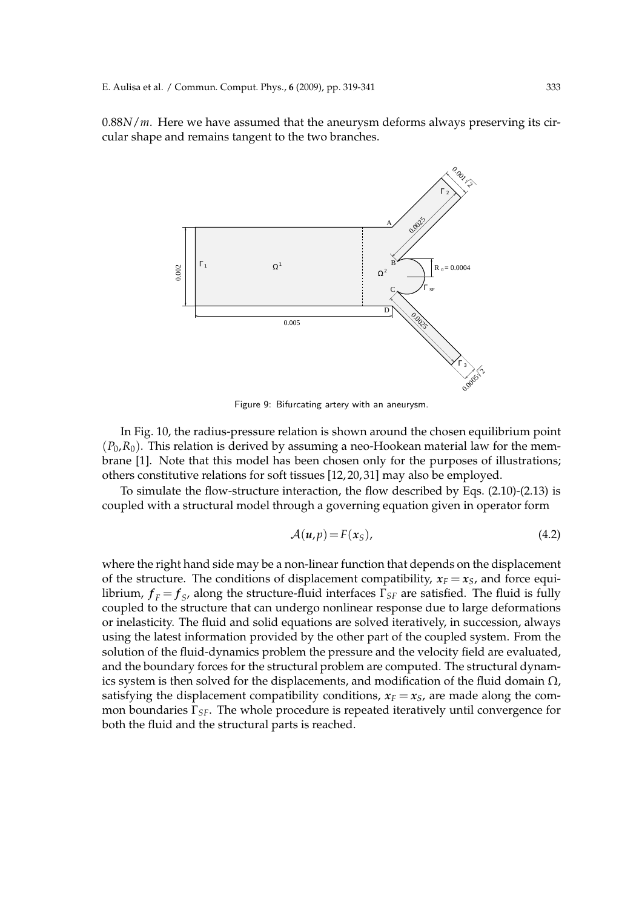0.88*N*/*m*. Here we have assumed that the aneurysm deforms always preserving its circular shape and remains tangent to the two branches.



Figure 9: Bifurcating artery with an aneurysm.

In Fig. 10, the radius-pressure relation is shown around the chosen equilibrium point  $(P_0, R_0)$ . This relation is derived by assuming a neo-Hookean material law for the membrane [1]. Note that this model has been chosen only for the purposes of illustrations; others constitutive relations for soft tissues [12, 20, 31] may also be employed.

To simulate the flow-structure interaction, the flow described by Eqs. (2.10)-(2.13) is coupled with a structural model through a governing equation given in operator form

$$
A(u,p) = F(xS), \t\t(4.2)
$$

where the right hand side may be a non-linear function that depends on the displacement of the structure. The conditions of displacement compatibility,  $x_F = x_S$ , and force equilibrium,  $f_F = f_S$ , along the structure-fluid interfaces  $\Gamma_{SF}$  are satisfied. The fluid is fully coupled to the structure that can undergo nonlinear response due to large deformations or inelasticity. The fluid and solid equations are solved iteratively, in succession, always using the latest information provided by the other part of the coupled system. From the solution of the fluid-dynamics problem the pressure and the velocity field are evaluated, and the boundary forces for the structural problem are computed. The structural dynamics system is then solved for the displacements, and modification of the fluid domain  $\Omega$ , satisfying the displacement compatibility conditions,  $x_F = x_S$ , are made along the common boundaries Γ*SF*. The whole procedure is repeated iteratively until convergence for both the fluid and the structural parts is reached.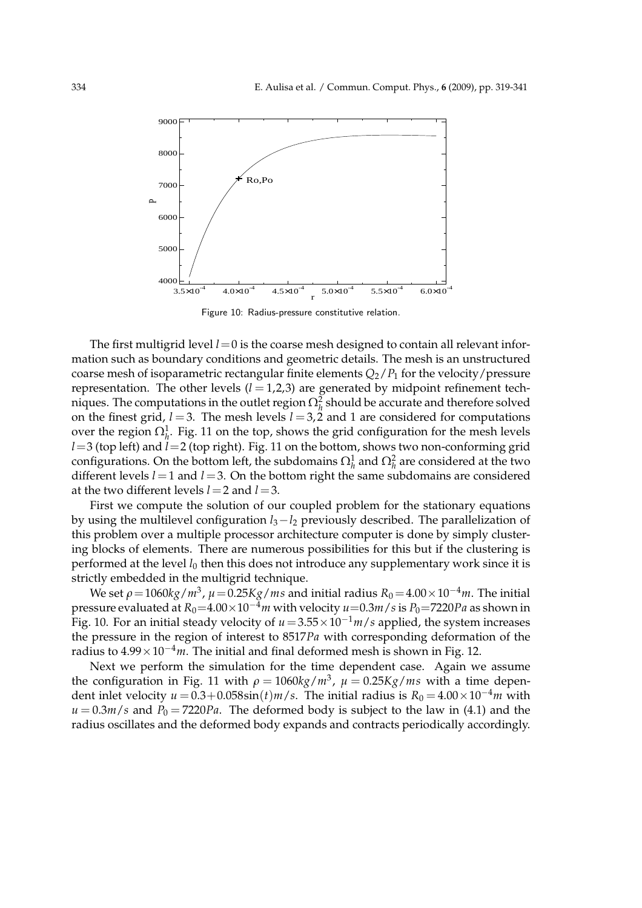

Figure 10: Radius-pressure constitutive relation.

The first multigrid level  $l=0$  is the coarse mesh designed to contain all relevant information such as boundary conditions and geometric details. The mesh is an unstructured coarse mesh of isoparametric rectangular finite elements  $Q_2/P_1$  for the velocity/pressure representation. The other levels  $(l = 1, 2, 3)$  are generated by midpoint refinement techniques. The computations in the outlet region  $\Omega_h^2$  should be accurate and therefore solved on the finest grid,  $l = 3$ . The mesh levels  $l = 3, 2$  and 1 are considered for computations over the region  $\Omega_h^1$ . Fig. 11 on the top, shows the grid configuration for the mesh levels *l*=3 (top left) and *l*=2 (top right). Fig. 11 on the bottom, shows two non-conforming grid configurations. On the bottom left, the subdomains  $\Omega_h^1$  and  $\Omega_h^2$  are considered at the two different levels  $l = 1$  and  $l = 3$ . On the bottom right the same subdomains are considered at the two different levels *l*=2 and *l*=3.

First we compute the solution of our coupled problem for the stationary equations by using the multilevel configuration *l*3−*l*<sup>2</sup> previously described. The parallelization of this problem over a multiple processor architecture computer is done by simply clustering blocks of elements. There are numerous possibilities for this but if the clustering is performed at the level *l*<sup>0</sup> then this does not introduce any supplementary work since it is strictly embedded in the multigrid technique.

We set  $\rho\!=\!1060kg/m^3$ ,  $\mu\!=\!0.25Kg/ms$  and initial radius  $R_0\!=\!4.00\!\times\!10^{-4}m$ . The initial pressure evaluated at  $R_0=4.00\times10^{-4}$  *m* with velocity  $u=0.3$  *m*/*s* is  $P_0=7220$  *Pa* as shown in Fig. 10. For an initial steady velocity of  $u = 3.55 \times 10^{-1}$  *m*/*s* applied, the system increases the pressure in the region of interest to 8517*Pa* with corresponding deformation of the radius to 4.99×10−4*m*. The initial and final deformed mesh is shown in Fig. 12.

Next we perform the simulation for the time dependent case. Again we assume the configuration in Fig. 11 with  $\rho = 1060 \text{kg/m}^3$ ,  $\mu = 0.25 \text{Kg/m}$ s with a time dependent inlet velocity  $u = 0.3 + 0.058 \sin(t) m/s$ . The initial radius is  $R_0 = 4.00 \times 10^{-4} m$  with  $u = 0.3m/s$  and  $P_0 = 7220Pa$ . The deformed body is subject to the law in (4.1) and the radius oscillates and the deformed body expands and contracts periodically accordingly.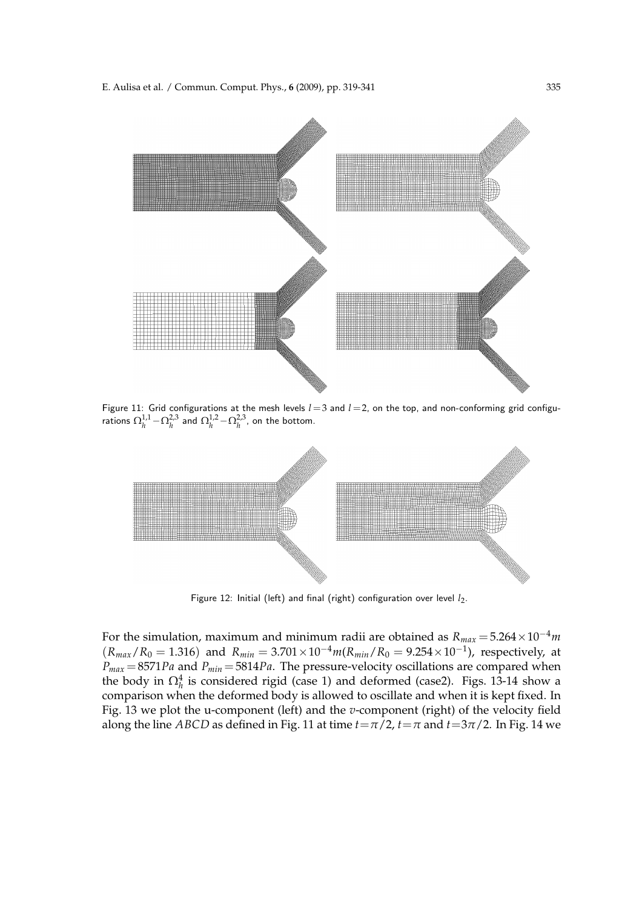

Figure 11: Grid configurations at the mesh levels  $l=3$  and  $l=2$ , on the top, and non-conforming grid configurations  $\Omega_h^{1,1}$   $-\Omega_h^{2,3}$  and  $\Omega_h^{1,2}$   $-\Omega_h^{2,3}$ , on the bottom.



Figure 12: Initial (left) and final (right) configuration over level *l<sub>2</sub>*.

For the simulation, maximum and minimum radii are obtained as  $R_{max} = 5.264 \times 10^{-4}$ *m*  $(R_{max}/R_0 = 1.316)$  and  $R_{min} = 3.701 \times 10^{-4} m(R_{min}/R_0 = 9.254 \times 10^{-1})$ , respectively, at  $P_{max} = 8571 Pa$  and  $P_{min} = 5814 Pa$ . The pressure-velocity oscillations are compared when the body in  $\Omega_h^4$  is considered rigid (case 1) and deformed (case2). Figs. 13-14 show a comparison when the deformed body is allowed to oscillate and when it is kept fixed. In Fig. 13 we plot the u-component (left) and the *v*-component (right) of the velocity field along the line *ABCD* as defined in Fig. 11 at time  $t = \pi/2$ ,  $t = \pi$  and  $t = 3\pi/2$ . In Fig. 14 we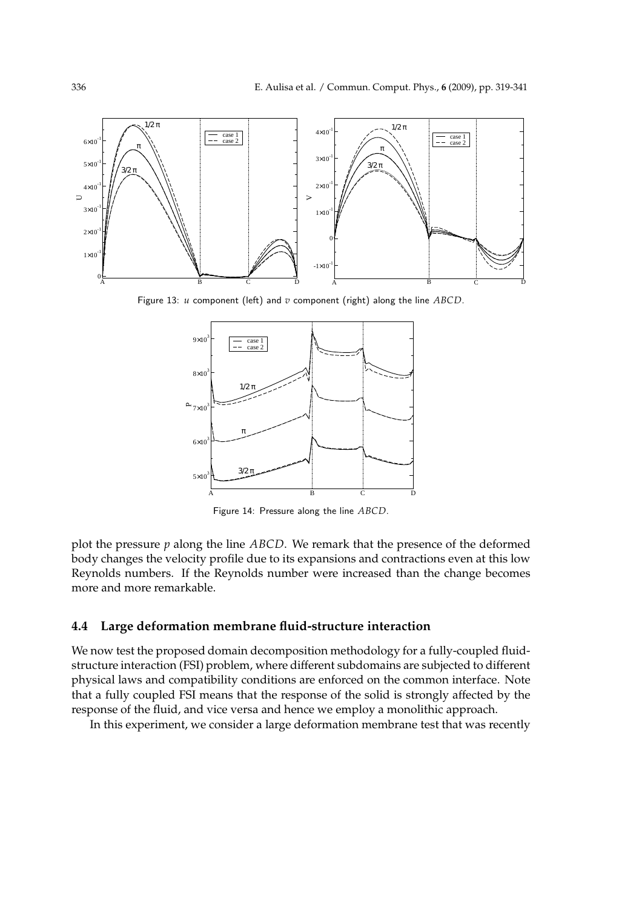

Figure 13: *u* component (left) and *v* component (right) along the line *ABCD*.



Figure 14: Pressure along the line *ABCD*.

plot the pressure *p* along the line *ABCD*. We remark that the presence of the deformed body changes the velocity profile due to its expansions and contractions even at this low Reynolds numbers. If the Reynolds number were increased than the change becomes more and more remarkable.

### **4.4 Large deformation membrane fluid-structure interaction**

We now test the proposed domain decomposition methodology for a fully-coupled fluidstructure interaction (FSI) problem, where different subdomains are subjected to different physical laws and compatibility conditions are enforced on the common interface. Note that a fully coupled FSI means that the response of the solid is strongly affected by the response of the fluid, and vice versa and hence we employ a monolithic approach.

In this experiment, we consider a large deformation membrane test that was recently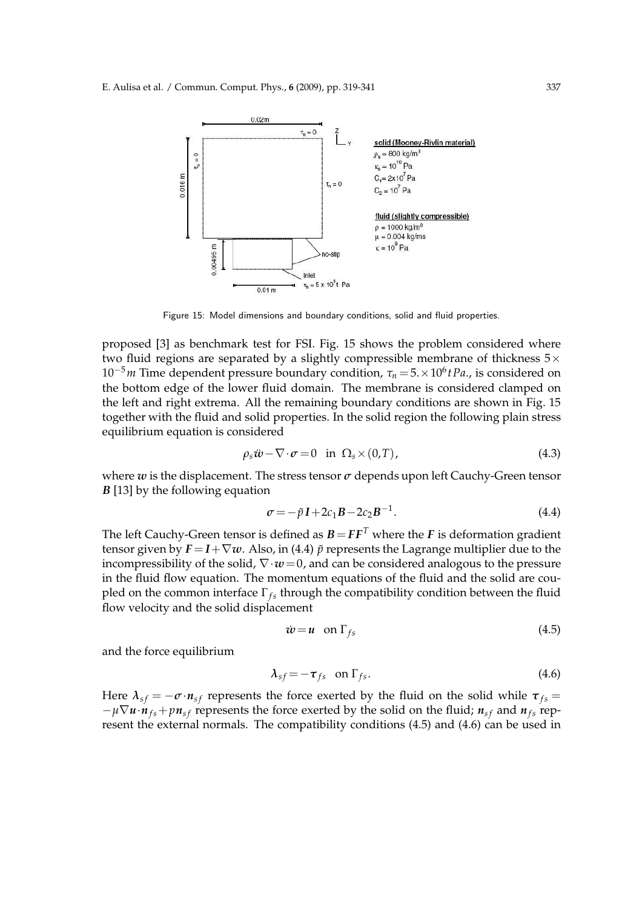

Figure 15: Model dimensions and boundary conditions, solid and fluid properties.

proposed [3] as benchmark test for FSI. Fig. 15 shows the problem considered where two fluid regions are separated by a slightly compressible membrane of thickness  $5\times$ 10−5*m* Time dependent pressure boundary condition, *τ<sup>n</sup>* =5.×10<sup>6</sup> *tPa*., is considered on the bottom edge of the lower fluid domain. The membrane is considered clamped on the left and right extrema. All the remaining boundary conditions are shown in Fig. 15 together with the fluid and solid properties. In the solid region the following plain stress equilibrium equation is considered

$$
\rho_s \ddot{\mathbf{w}} - \nabla \cdot \boldsymbol{\sigma} = 0 \quad \text{in} \ \Omega_s \times (0, T), \tag{4.3}
$$

where *w* is the displacement. The stress tensor *σ* depends upon left Cauchy-Green tensor *B* [13] by the following equation

$$
\sigma = -\tilde{p}I + 2c_1B - 2c_2B^{-1}.
$$
\n(4.4)

The left Cauchy-Green tensor is defined as  $B = FF^T$  where the *F* is deformation gradient tensor given by  $F = I + \nabla w$ . Also, in (4.4)  $\tilde{p}$  represents the Lagrange multiplier due to the incompressibility of the solid,  $\nabla \cdot \boldsymbol{w} = 0$ , and can be considered analogous to the pressure in the fluid flow equation. The momentum equations of the fluid and the solid are coupled on the common interface Γ<sub>fs</sub> through the compatibility condition between the fluid flow velocity and the solid displacement

$$
\dot{w} = u \quad \text{on } \Gamma_{fs} \tag{4.5}
$$

and the force equilibrium

$$
\lambda_{sf} = -\tau_{fs} \quad \text{on } \Gamma_{fs}.\tag{4.6}
$$

Here  $\lambda_{sf} = -\sigma \cdot n_{sf}$  represents the force exerted by the fluid on the solid while  $\tau_{fs} =$  $-\mu \nabla u \cdot n_{fs} + p n_{sf}$  represents the force exerted by the solid on the fluid;  $n_{sf}$  and  $n_{fs}$  represent the external normals. The compatibility conditions (4.5) and (4.6) can be used in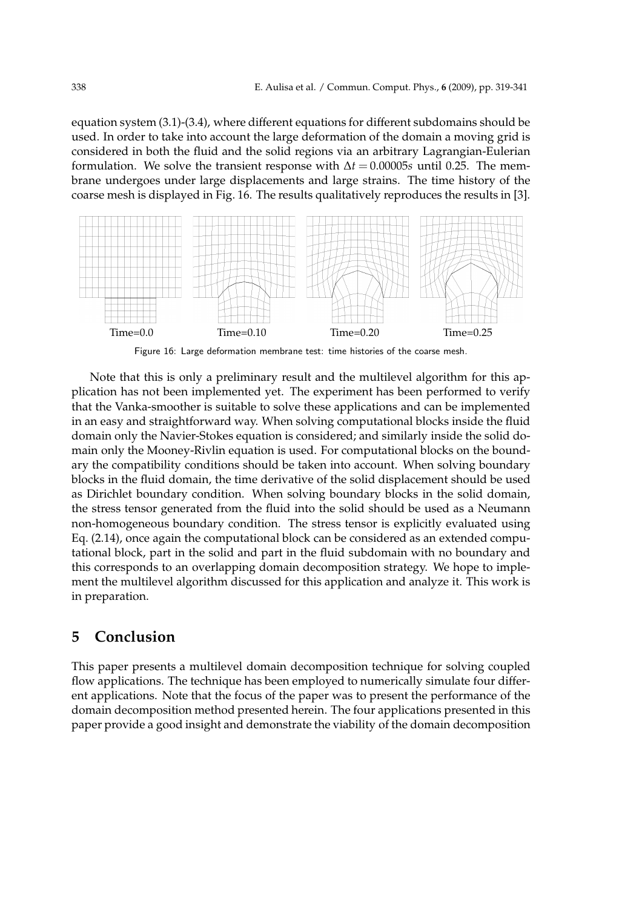equation system (3.1)-(3.4), where different equations for different subdomains should be used. In order to take into account the large deformation of the domain a moving grid is considered in both the fluid and the solid regions via an arbitrary Lagrangian-Eulerian formulation. We solve the transient response with  $\Delta t = 0.00005s$  until 0.25. The membrane undergoes under large displacements and large strains. The time history of the coarse mesh is displayed in Fig. 16. The results qualitatively reproduces the results in [3].



Figure 16: Large deformation membrane test: time histories of the coarse mesh.

Note that this is only a preliminary result and the multilevel algorithm for this application has not been implemented yet. The experiment has been performed to verify that the Vanka-smoother is suitable to solve these applications and can be implemented in an easy and straightforward way. When solving computational blocks inside the fluid domain only the Navier-Stokes equation is considered; and similarly inside the solid domain only the Mooney-Rivlin equation is used. For computational blocks on the boundary the compatibility conditions should be taken into account. When solving boundary blocks in the fluid domain, the time derivative of the solid displacement should be used as Dirichlet boundary condition. When solving boundary blocks in the solid domain, the stress tensor generated from the fluid into the solid should be used as a Neumann non-homogeneous boundary condition. The stress tensor is explicitly evaluated using Eq. (2.14), once again the computational block can be considered as an extended computational block, part in the solid and part in the fluid subdomain with no boundary and this corresponds to an overlapping domain decomposition strategy. We hope to implement the multilevel algorithm discussed for this application and analyze it. This work is in preparation.

### **5 Conclusion**

This paper presents a multilevel domain decomposition technique for solving coupled flow applications. The technique has been employed to numerically simulate four different applications. Note that the focus of the paper was to present the performance of the domain decomposition method presented herein. The four applications presented in this paper provide a good insight and demonstrate the viability of the domain decomposition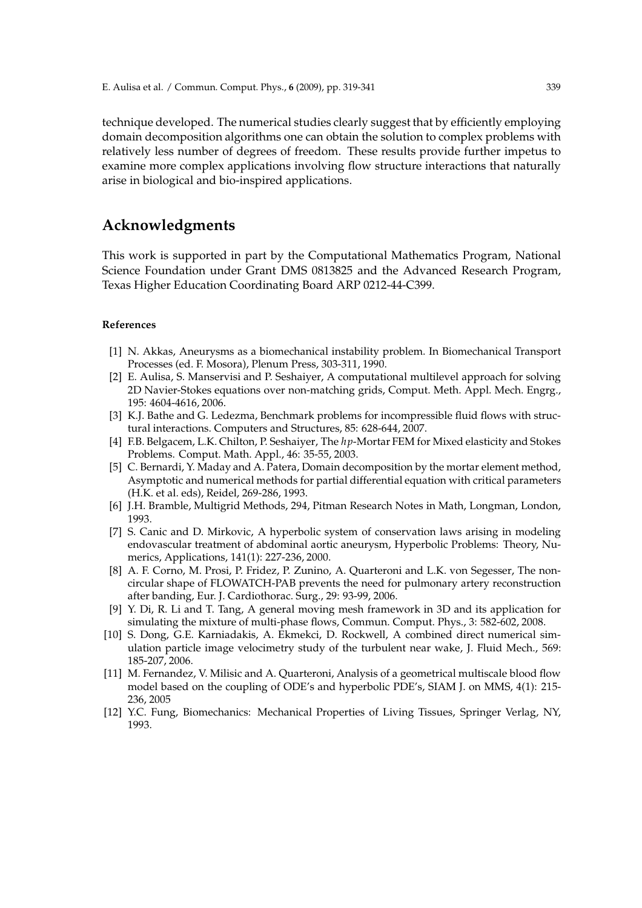technique developed. The numerical studies clearly suggest that by efficiently employing domain decomposition algorithms one can obtain the solution to complex problems with relatively less number of degrees of freedom. These results provide further impetus to examine more complex applications involving flow structure interactions that naturally arise in biological and bio-inspired applications.

## **Acknowledgments**

This work is supported in part by the Computational Mathematics Program, National Science Foundation under Grant DMS 0813825 and the Advanced Research Program, Texas Higher Education Coordinating Board ARP 0212-44-C399.

#### **References**

- [1] N. Akkas, Aneurysms as a biomechanical instability problem. In Biomechanical Transport Processes (ed. F. Mosora), Plenum Press, 303-311, 1990.
- [2] E. Aulisa, S. Manservisi and P. Seshaiyer, A computational multilevel approach for solving 2D Navier-Stokes equations over non-matching grids, Comput. Meth. Appl. Mech. Engrg., 195: 4604-4616, 2006.
- [3] K.J. Bathe and G. Ledezma, Benchmark problems for incompressible fluid flows with structural interactions. Computers and Structures, 85: 628-644, 2007.
- [4] F.B. Belgacem, L.K. Chilton, P. Seshaiyer, The *hp*-Mortar FEM for Mixed elasticity and Stokes Problems. Comput. Math. Appl., 46: 35-55, 2003.
- [5] C. Bernardi, Y. Maday and A. Patera, Domain decomposition by the mortar element method, Asymptotic and numerical methods for partial differential equation with critical parameters (H.K. et al. eds), Reidel, 269-286, 1993.
- [6] J.H. Bramble, Multigrid Methods, 294, Pitman Research Notes in Math, Longman, London, 1993.
- [7] S. Canic and D. Mirkovic, A hyperbolic system of conservation laws arising in modeling endovascular treatment of abdominal aortic aneurysm, Hyperbolic Problems: Theory, Numerics, Applications, 141(1): 227-236, 2000.
- [8] A. F. Corno, M. Prosi, P. Fridez, P. Zunino, A. Quarteroni and L.K. von Segesser, The noncircular shape of FLOWATCH-PAB prevents the need for pulmonary artery reconstruction after banding, Eur. J. Cardiothorac. Surg., 29: 93-99, 2006.
- [9] Y. Di, R. Li and T. Tang, A general moving mesh framework in 3D and its application for simulating the mixture of multi-phase flows, Commun. Comput. Phys., 3: 582-602, 2008.
- [10] S. Dong, G.E. Karniadakis, A. Ekmekci, D. Rockwell, A combined direct numerical simulation particle image velocimetry study of the turbulent near wake, J. Fluid Mech., 569: 185-207, 2006.
- [11] M. Fernandez, V. Milisic and A. Quarteroni, Analysis of a geometrical multiscale blood flow model based on the coupling of ODE's and hyperbolic PDE's, SIAM J. on MMS, 4(1): 215- 236, 2005
- [12] Y.C. Fung, Biomechanics: Mechanical Properties of Living Tissues, Springer Verlag, NY, 1993.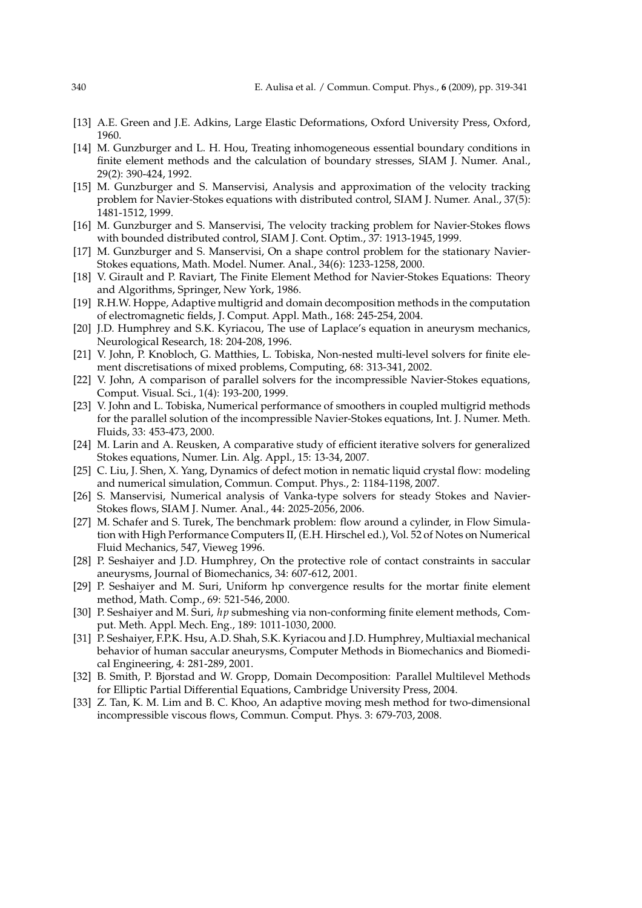- [13] A.E. Green and J.E. Adkins, Large Elastic Deformations, Oxford University Press, Oxford, 1960.
- [14] M. Gunzburger and L. H. Hou, Treating inhomogeneous essential boundary conditions in finite element methods and the calculation of boundary stresses, SIAM J. Numer. Anal., 29(2): 390-424, 1992.
- [15] M. Gunzburger and S. Manservisi, Analysis and approximation of the velocity tracking problem for Navier-Stokes equations with distributed control, SIAM J. Numer. Anal., 37(5): 1481-1512, 1999.
- [16] M. Gunzburger and S. Manservisi, The velocity tracking problem for Navier-Stokes flows with bounded distributed control, SIAM J. Cont. Optim., 37: 1913-1945, 1999.
- [17] M. Gunzburger and S. Manservisi, On a shape control problem for the stationary Navier-Stokes equations, Math. Model. Numer. Anal., 34(6): 1233-1258, 2000.
- [18] V. Girault and P. Raviart, The Finite Element Method for Navier-Stokes Equations: Theory and Algorithms, Springer, New York, 1986.
- [19] R.H.W. Hoppe, Adaptive multigrid and domain decomposition methods in the computation of electromagnetic fields, J. Comput. Appl. Math., 168: 245-254, 2004.
- [20] J.D. Humphrey and S.K. Kyriacou, The use of Laplace's equation in aneurysm mechanics, Neurological Research, 18: 204-208, 1996.
- [21] V. John, P. Knobloch, G. Matthies, L. Tobiska, Non-nested multi-level solvers for finite element discretisations of mixed problems, Computing, 68: 313-341, 2002.
- [22] V. John, A comparison of parallel solvers for the incompressible Navier-Stokes equations, Comput. Visual. Sci., 1(4): 193-200, 1999.
- [23] V. John and L. Tobiska, Numerical performance of smoothers in coupled multigrid methods for the parallel solution of the incompressible Navier-Stokes equations, Int. J. Numer. Meth. Fluids, 33: 453-473, 2000.
- [24] M. Larin and A. Reusken, A comparative study of efficient iterative solvers for generalized Stokes equations, Numer. Lin. Alg. Appl., 15: 13-34, 2007.
- [25] C. Liu, J. Shen, X. Yang, Dynamics of defect motion in nematic liquid crystal flow: modeling and numerical simulation, Commun. Comput. Phys., 2: 1184-1198, 2007.
- [26] S. Manservisi, Numerical analysis of Vanka-type solvers for steady Stokes and Navier-Stokes flows, SIAM J. Numer. Anal., 44: 2025-2056, 2006.
- [27] M. Schafer and S. Turek, The benchmark problem: flow around a cylinder, in Flow Simulation with High Performance Computers II, (E.H. Hirschel ed.), Vol. 52 of Notes on Numerical Fluid Mechanics, 547, Vieweg 1996.
- [28] P. Seshaiyer and J.D. Humphrey, On the protective role of contact constraints in saccular aneurysms, Journal of Biomechanics, 34: 607-612, 2001.
- [29] P. Seshaiyer and M. Suri, Uniform hp convergence results for the mortar finite element method, Math. Comp., 69: 521-546, 2000.
- [30] P. Seshaiyer and M. Suri, *hp* submeshing via non-conforming finite element methods, Comput. Meth. Appl. Mech. Eng., 189: 1011-1030, 2000.
- [31] P. Seshaiyer, F.P.K. Hsu, A.D. Shah, S.K. Kyriacou and J.D. Humphrey, Multiaxial mechanical behavior of human saccular aneurysms, Computer Methods in Biomechanics and Biomedical Engineering, 4: 281-289, 2001.
- [32] B. Smith, P. Bjorstad and W. Gropp, Domain Decomposition: Parallel Multilevel Methods for Elliptic Partial Differential Equations, Cambridge University Press, 2004.
- [33] Z. Tan, K. M. Lim and B. C. Khoo, An adaptive moving mesh method for two-dimensional incompressible viscous flows, Commun. Comput. Phys. 3: 679-703, 2008.